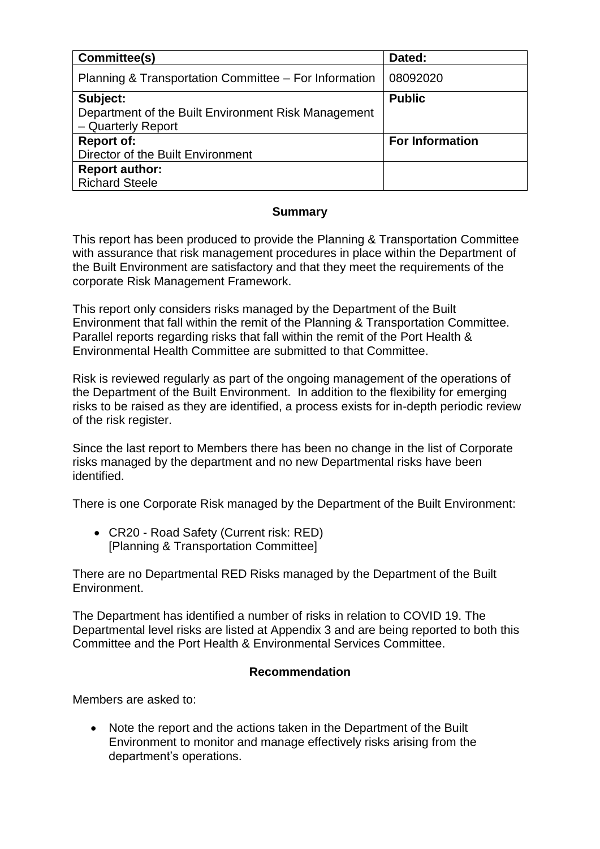| Committee(s)                                                                          | Dated:                 |
|---------------------------------------------------------------------------------------|------------------------|
| Planning & Transportation Committee – For Information                                 | 08092020               |
| Subject:<br>Department of the Built Environment Risk Management<br>- Quarterly Report | <b>Public</b>          |
| <b>Report of:</b>                                                                     | <b>For Information</b> |
| Director of the Built Environment                                                     |                        |
| <b>Report author:</b>                                                                 |                        |
| <b>Richard Steele</b>                                                                 |                        |

### **Summary**

This report has been produced to provide the Planning & Transportation Committee with assurance that risk management procedures in place within the Department of the Built Environment are satisfactory and that they meet the requirements of the corporate Risk Management Framework.

This report only considers risks managed by the Department of the Built Environment that fall within the remit of the Planning & Transportation Committee. Parallel reports regarding risks that fall within the remit of the Port Health & Environmental Health Committee are submitted to that Committee.

Risk is reviewed regularly as part of the ongoing management of the operations of the Department of the Built Environment. In addition to the flexibility for emerging risks to be raised as they are identified, a process exists for in-depth periodic review of the risk register.

Since the last report to Members there has been no change in the list of Corporate risks managed by the department and no new Departmental risks have been identified.

There is one Corporate Risk managed by the Department of the Built Environment:

• CR20 - Road Safety (Current risk: RED) [Planning & Transportation Committee]

There are no Departmental RED Risks managed by the Department of the Built Environment.

The Department has identified a number of risks in relation to COVID 19. The Departmental level risks are listed at Appendix 3 and are being reported to both this Committee and the Port Health & Environmental Services Committee.

## **Recommendation**

Members are asked to:

• Note the report and the actions taken in the Department of the Built Environment to monitor and manage effectively risks arising from the department's operations.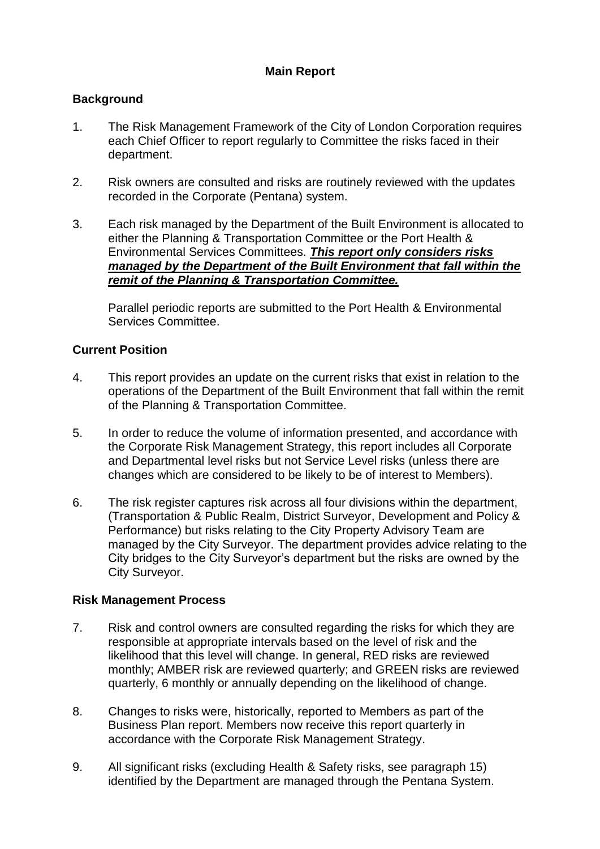## **Main Report**

## **Background**

- 1. The Risk Management Framework of the City of London Corporation requires each Chief Officer to report regularly to Committee the risks faced in their department.
- 2. Risk owners are consulted and risks are routinely reviewed with the updates recorded in the Corporate (Pentana) system.
- 3. Each risk managed by the Department of the Built Environment is allocated to either the Planning & Transportation Committee or the Port Health & Environmental Services Committees. *This report only considers risks managed by the Department of the Built Environment that fall within the remit of the Planning & Transportation Committee.*

Parallel periodic reports are submitted to the Port Health & Environmental Services Committee.

### **Current Position**

- 4. This report provides an update on the current risks that exist in relation to the operations of the Department of the Built Environment that fall within the remit of the Planning & Transportation Committee.
- 5. In order to reduce the volume of information presented, and accordance with the Corporate Risk Management Strategy, this report includes all Corporate and Departmental level risks but not Service Level risks (unless there are changes which are considered to be likely to be of interest to Members).
- 6. The risk register captures risk across all four divisions within the department, (Transportation & Public Realm, District Surveyor, Development and Policy & Performance) but risks relating to the City Property Advisory Team are managed by the City Surveyor. The department provides advice relating to the City bridges to the City Surveyor's department but the risks are owned by the City Surveyor.

#### **Risk Management Process**

- 7. Risk and control owners are consulted regarding the risks for which they are responsible at appropriate intervals based on the level of risk and the likelihood that this level will change. In general, RED risks are reviewed monthly; AMBER risk are reviewed quarterly; and GREEN risks are reviewed quarterly, 6 monthly or annually depending on the likelihood of change.
- 8. Changes to risks were, historically, reported to Members as part of the Business Plan report. Members now receive this report quarterly in accordance with the Corporate Risk Management Strategy.
- 9. All significant risks (excluding Health & Safety risks, see paragraph 15) identified by the Department are managed through the Pentana System.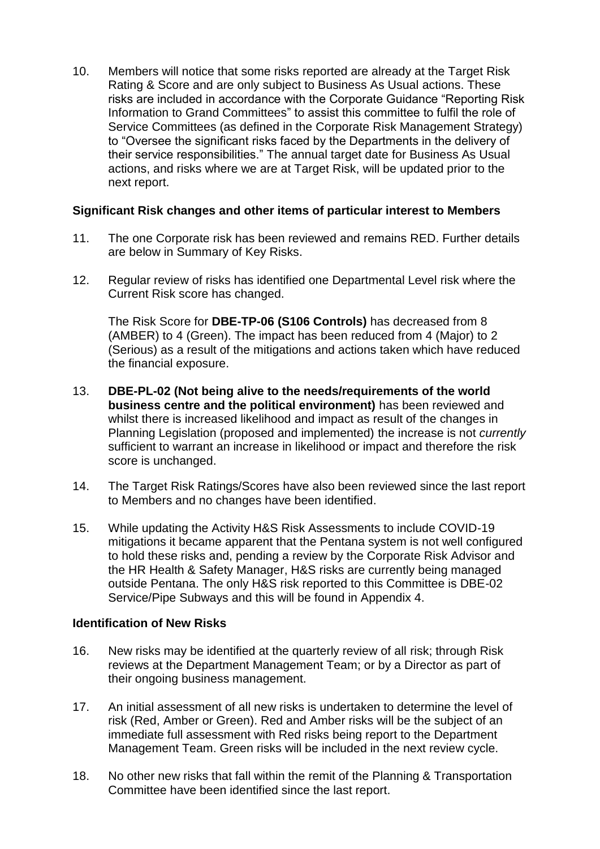10. Members will notice that some risks reported are already at the Target Risk Rating & Score and are only subject to Business As Usual actions. These risks are included in accordance with the Corporate Guidance "Reporting Risk Information to Grand Committees" to assist this committee to fulfil the role of Service Committees (as defined in the Corporate Risk Management Strategy) to "Oversee the significant risks faced by the Departments in the delivery of their service responsibilities." The annual target date for Business As Usual actions, and risks where we are at Target Risk, will be updated prior to the next report.

### **Significant Risk changes and other items of particular interest to Members**

- 11. The one Corporate risk has been reviewed and remains RED. Further details are below in Summary of Key Risks.
- 12. Regular review of risks has identified one Departmental Level risk where the Current Risk score has changed.

The Risk Score for **DBE-TP-06 (S106 Controls)** has decreased from 8 (AMBER) to 4 (Green). The impact has been reduced from 4 (Major) to 2 (Serious) as a result of the mitigations and actions taken which have reduced the financial exposure.

- 13. **DBE-PL-02 (Not being alive to the needs/requirements of the world business centre and the political environment)** has been reviewed and whilst there is increased likelihood and impact as result of the changes in Planning Legislation (proposed and implemented) the increase is not *currently* sufficient to warrant an increase in likelihood or impact and therefore the risk score is unchanged.
- 14. The Target Risk Ratings/Scores have also been reviewed since the last report to Members and no changes have been identified.
- 15. While updating the Activity H&S Risk Assessments to include COVID-19 mitigations it became apparent that the Pentana system is not well configured to hold these risks and, pending a review by the Corporate Risk Advisor and the HR Health & Safety Manager, H&S risks are currently being managed outside Pentana. The only H&S risk reported to this Committee is DBE-02 Service/Pipe Subways and this will be found in Appendix 4.

#### **Identification of New Risks**

- 16. New risks may be identified at the quarterly review of all risk; through Risk reviews at the Department Management Team; or by a Director as part of their ongoing business management.
- 17. An initial assessment of all new risks is undertaken to determine the level of risk (Red, Amber or Green). Red and Amber risks will be the subject of an immediate full assessment with Red risks being report to the Department Management Team. Green risks will be included in the next review cycle.
- 18. No other new risks that fall within the remit of the Planning & Transportation Committee have been identified since the last report.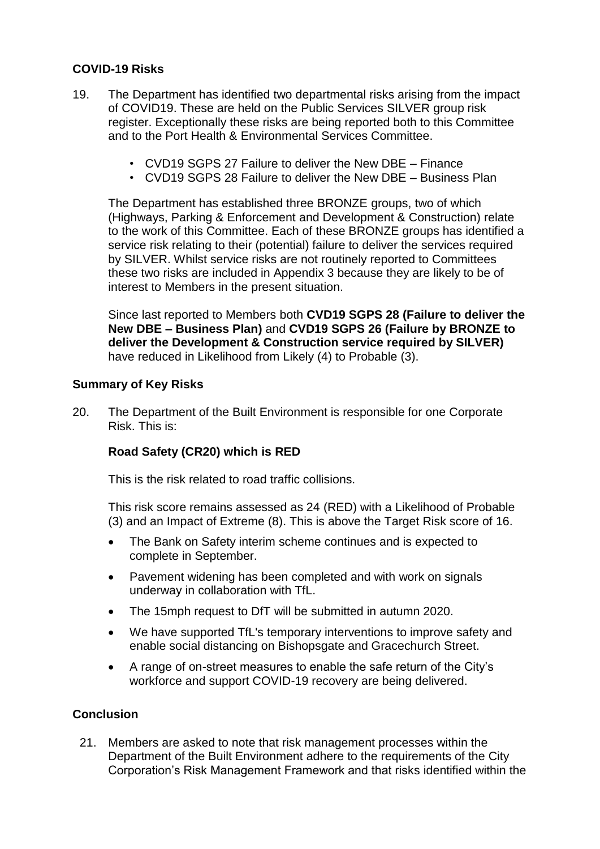## **COVID-19 Risks**

- 19. The Department has identified two departmental risks arising from the impact of COVID19. These are held on the Public Services SILVER group risk register. Exceptionally these risks are being reported both to this Committee and to the Port Health & Environmental Services Committee.
	- CVD19 SGPS 27 Failure to deliver the New DBE Finance
	- CVD19 SGPS 28 Failure to deliver the New DBE Business Plan

The Department has established three BRONZE groups, two of which (Highways, Parking & Enforcement and Development & Construction) relate to the work of this Committee. Each of these BRONZE groups has identified a service risk relating to their (potential) failure to deliver the services required by SILVER. Whilst service risks are not routinely reported to Committees these two risks are included in Appendix 3 because they are likely to be of interest to Members in the present situation.

Since last reported to Members both **CVD19 SGPS 28 (Failure to deliver the New DBE – Business Plan)** and **CVD19 SGPS 26 (Failure by BRONZE to deliver the Development & Construction service required by SILVER)** have reduced in Likelihood from Likely (4) to Probable (3).

### **Summary of Key Risks**

20. The Department of the Built Environment is responsible for one Corporate Risk. This is:

## **Road Safety (CR20) which is RED**

This is the risk related to road traffic collisions.

This risk score remains assessed as 24 (RED) with a Likelihood of Probable (3) and an Impact of Extreme (8). This is above the Target Risk score of 16.

- The Bank on Safety interim scheme continues and is expected to complete in September.
- Pavement widening has been completed and with work on signals underway in collaboration with TfL.
- The 15mph request to DfT will be submitted in autumn 2020.
- We have supported TfL's temporary interventions to improve safety and enable social distancing on Bishopsgate and Gracechurch Street.
- A range of on-street measures to enable the safe return of the City's workforce and support COVID-19 recovery are being delivered.

## **Conclusion**

21. Members are asked to note that risk management processes within the Department of the Built Environment adhere to the requirements of the City Corporation's Risk Management Framework and that risks identified within the